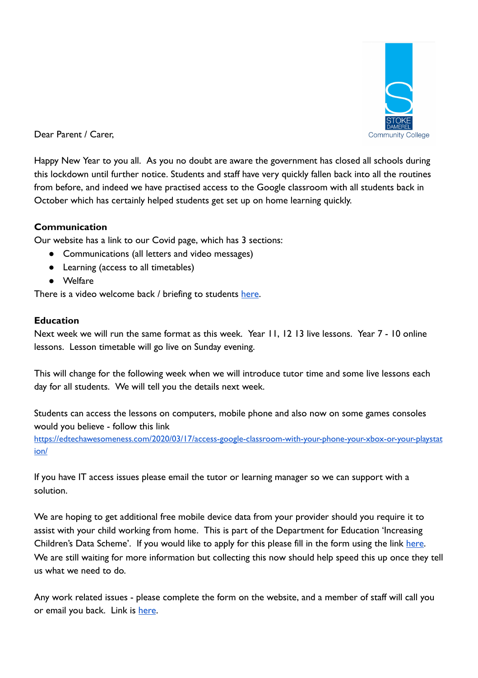

Dear Parent / Carer,

Happy New Year to you all. As you no doubt are aware the government has closed all schools during this lockdown until further notice. Students and staff have very quickly fallen back into all the routines from before, and indeed we have practised access to the Google classroom with all students back in October which has certainly helped students get set up on home learning quickly.

# **Communication**

Our website has a link to our Covid page, which has 3 sections:

- Communications (all letters and video messages)
- Learning (access to all timetables)
- Welfare

There is a video welcome back / briefing to students [here](https://youtu.be/Vv13DAXeLgc).

## **Education**

Next week we will run the same format as this week. Year 11, 12 13 live lessons. Year 7 - 10 online lessons. Lesson timetable will go live on Sunday evening.

This will change for the following week when we will introduce tutor time and some live lessons each day for all students. We will tell you the details next week.

Students can access the lessons on computers, mobile phone and also now on some games consoles would you believe - follow this link [https://edtechawesomeness.com/2020/03/17/access-google-classroom-with-your-phone-your-xbox-or-your-playstat](https://edtechawesomeness.com/2020/03/17/access-google-classroom-with-your-phone-your-xbox-or-your-playstation/)

[ion/](https://edtechawesomeness.com/2020/03/17/access-google-classroom-with-your-phone-your-xbox-or-your-playstation/)

If you have IT access issues please email the tutor or learning manager so we can support with a solution.

We are hoping to get additional free mobile device data from your provider should you require it to assist with your child working from home. This is part of the Department for Education 'Increasing Children's Data Scheme'. If you would like to apply for this please fill in the form using the link here. We are still waiting for more information but collecting this now should help speed this up once they tell us what we need to do.

Any work related issues - please complete the form on the website, and a member of staff will call you or email you back. Link is [here](https://forms.gle/PQGqqxTaiGsnAdDE6).